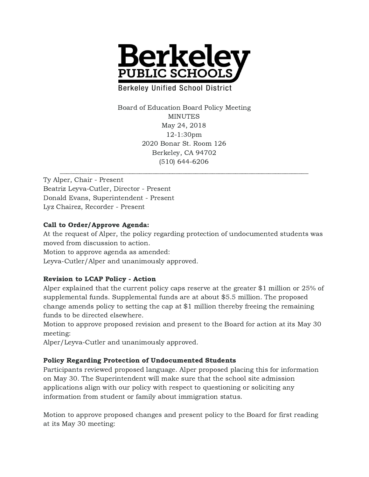

**Berkeley Unified School District** 

Board of Education Board Policy Meeting MINUTES May 24, 2018 12-1:30pm 2020 Bonar St. Room 126 Berkeley, CA 94702 (510) 644-6206

Ty Alper, Chair - Present Beatriz Leyva-Cutler, Director - Present Donald Evans, Superintendent - Present Lyz Chairez, Recorder - Present

# Call to Order/Approve Agenda:

At the request of Alper, the policy regarding protection of undocumented students was moved from discussion to action.

Motion to approve agenda as amended:

Leyva-Cutler/Alper and unanimously approved.

# Revision to LCAP Policy - Action

Alper explained that the current policy caps reserve at the greater \$1 million or 25% of supplemental funds. Supplemental funds are at about \$5.5 million. The proposed change amends policy to setting the cap at \$1 million thereby freeing the remaining funds to be directed elsewhere.

Motion to approve proposed revision and present to the Board for action at its May 30 meeting:

Alper/Leyva-Cutler and unanimously approved.

# Policy Regarding Protection of Undocumented Students

Participants reviewed proposed language. Alper proposed placing this for information on May 30. The Superintendent will make sure that the school site admission applications align with our policy with respect to questioning or soliciting any information from student or family about immigration status.

Motion to approve proposed changes and present policy to the Board for first reading at its May 30 meeting: